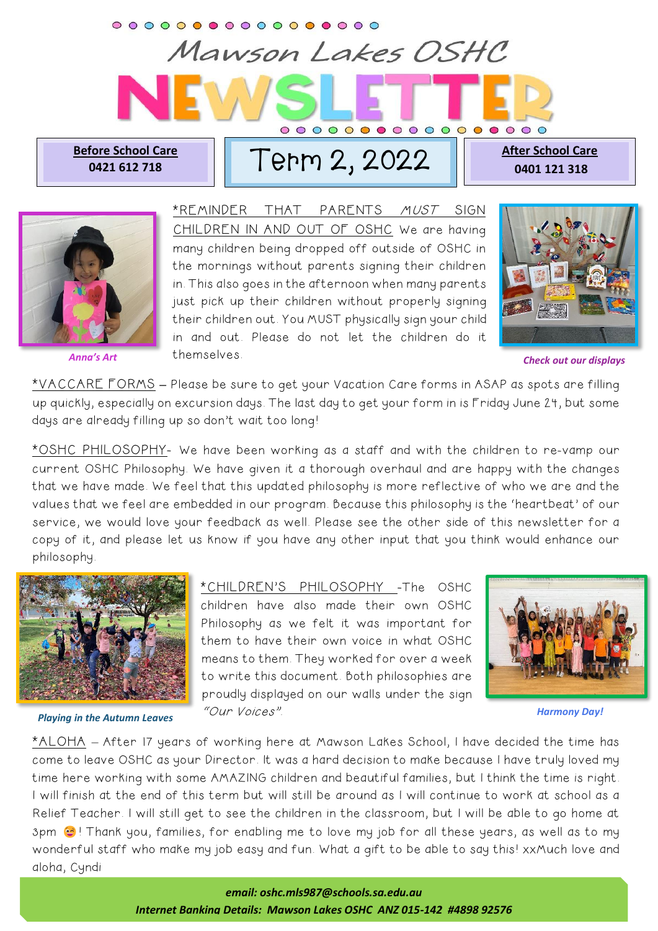## Mawson Lakes OSHC **Before School Care**

<u>TOre School Care</u> | | Tepm 2, 2022

**After School Care 0401 121 318** 



\*REMINDER THAT PARENTS MUST SIGN CHILDREN IN AND OUT OF OSHC We are having many children being dropped off outside of OSHC in the mornings without parents signing their children in. This also goes in the afternoon when many parents just pick up their children without properly signing their children out. You MUST physically sign your child in and out. Please do not let the children do it themselves. *Anna's Art Check out our displays*



\*VACCARE FORMS **–** Please be sure to get your Vacation Care forms in ASAP as spots are filling up quickly, especially on excursion days. The last day to get your form in is Friday June 24, but some days are already filling up so don't wait too long!

\*OSHC PHILOSOPHY- We have been working as a staff and with the children to re-vamp our current OSHC Philosophy. We have given it a thorough overhaul and are happy with the changes that we have made. We feel that this updated philosophy is more reflective of who we are and the values that we feel are embedded in our program. Because this philosophy is the 'heartbeat' of our service, we would love your feedback as well. Please see the other side of this newsletter for a copy of it, and please let us know if you have any other input that you think would enhance our philosophy.



*Playing in the Autumn Leaves*

\*CHILDREN'S PHILOSOPHY -The OSHC children have also made their own OSHC Philosophy as we felt it was important for them to have their own voice in what OSHC means to them. They worked for over a week to write this document. Both philosophies are proudly displayed on our walls under the sign "Our Voices".



*Harmony Day!*

\*ALOHA – After 17 years of working here at Mawson Lakes School, I have decided the time has come to leave OSHC as your Director. It was a hard decision to make because I have truly loved my time here working with some AMAZING children and beautiful families, but I think the time is right. I will finish at the end of this term but will still be around as I will continue to work at school as a Relief Teacher. I will still get to see the children in the classroom, but I will be able to go home at 3pm  $\odot$ ! Thank you, families, for enabling me to love my job for all these years, as well as to my wonderful staff who make my job easy and fun. What a gift to be able to say this! xxMuch love and aloha, Cyndi